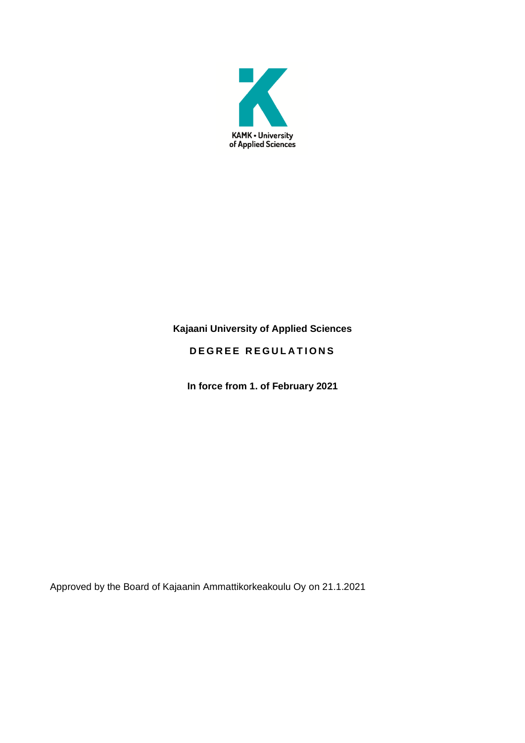

# **Kajaani University of Applied Sciences**

# **DEGREE REGULATIONS**

**In force from 1. of February 2021**

Approved by the Board of Kajaanin Ammattikorkeakoulu Oy on 21.1.2021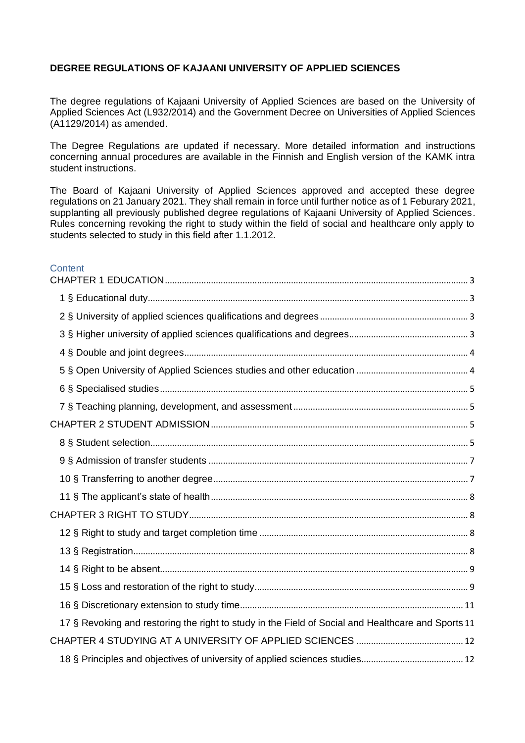### **DEGREE REGULATIONS OF KAJAANI UNIVERSITY OF APPLIED SCIENCES**

The degree regulations of Kajaani University of Applied Sciences are based on the University of Applied Sciences Act (L932/2014) and the Government Decree on Universities of Applied Sciences (A1129/2014) as amended.

The Degree Regulations are updated if necessary. More detailed information and instructions concerning annual procedures are available in the Finnish and English version of the KAMK intra student instructions.

The Board of Kajaani University of Applied Sciences approved and accepted these degree regulations on 21 January 2021. They shall remain in force until further notice as of 1 Feburary 2021, supplanting all previously published degree regulations of Kajaani University of Applied Sciences. Rules concerning revoking the right to study within the field of social and healthcare only apply to students selected to study in this field after 1.1.2012.

#### **Content**

| 17 § Revoking and restoring the right to study in the Field of Social and Healthcare and Sports 11 |
|----------------------------------------------------------------------------------------------------|
|                                                                                                    |
|                                                                                                    |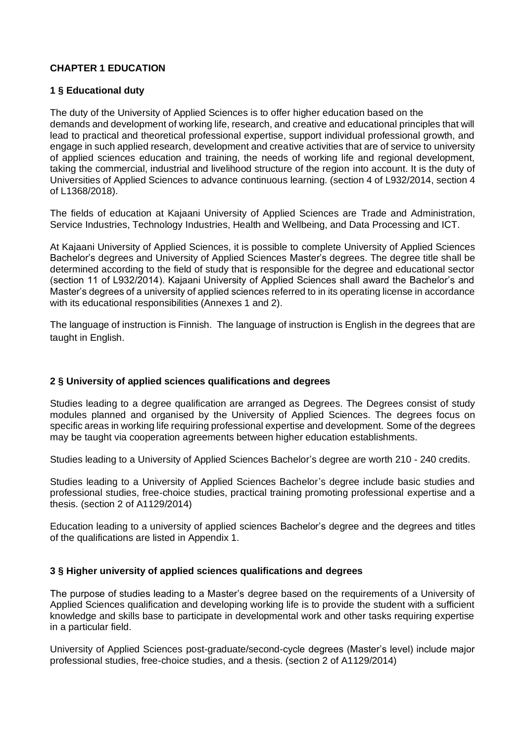### <span id="page-3-0"></span>**CHAPTER 1 EDUCATION**

### <span id="page-3-1"></span>**1 § Educational duty**

The duty of the University of Applied Sciences is to offer higher education based on the demands and development of working life, research, and creative and educational principles that will lead to practical and theoretical professional expertise, support individual professional growth, and engage in such applied research, development and creative activities that are of service to university of applied sciences education and training, the needs of working life and regional development, taking the commercial, industrial and livelihood structure of the region into account. It is the duty of Universities of Applied Sciences to advance continuous learning. (section 4 of L932/2014, section 4 of L1368/2018).

The fields of education at Kajaani University of Applied Sciences are Trade and Administration, Service Industries, Technology Industries, Health and Wellbeing, and Data Processing and ICT.

At Kajaani University of Applied Sciences, it is possible to complete University of Applied Sciences Bachelor's degrees and University of Applied Sciences Master's degrees. The degree title shall be determined according to the field of study that is responsible for the degree and educational sector (section 11 of L932/2014). Kajaani University of Applied Sciences shall award the Bachelor's and Master's degrees of a university of applied sciences referred to in its operating license in accordance with its educational responsibilities (Annexes 1 and 2).

The language of instruction is Finnish. The language of instruction is English in the degrees that are taught in English.

### <span id="page-3-2"></span>**2 § University of applied sciences qualifications and degrees**

Studies leading to a degree qualification are arranged as Degrees. The Degrees consist of study modules planned and organised by the University of Applied Sciences. The degrees focus on specific areas in working life requiring professional expertise and development. Some of the degrees may be taught via cooperation agreements between higher education establishments.

Studies leading to a University of Applied Sciences Bachelor's degree are worth 210 - 240 credits.

Studies leading to a University of Applied Sciences Bachelor's degree include basic studies and professional studies, free-choice studies, practical training promoting professional expertise and a thesis. (section 2 of A1129/2014)

Education leading to a university of applied sciences Bachelor's degree and the degrees and titles of the qualifications are listed in Appendix 1.

### <span id="page-3-3"></span>**3 § Higher university of applied sciences qualifications and degrees**

The purpose of studies leading to a Master's degree based on the requirements of a University of Applied Sciences qualification and developing working life is to provide the student with a sufficient knowledge and skills base to participate in developmental work and other tasks requiring expertise in a particular field.

University of Applied Sciences post-graduate/second-cycle degrees (Master's level) include major professional studies, free-choice studies, and a thesis. (section 2 of A1129/2014)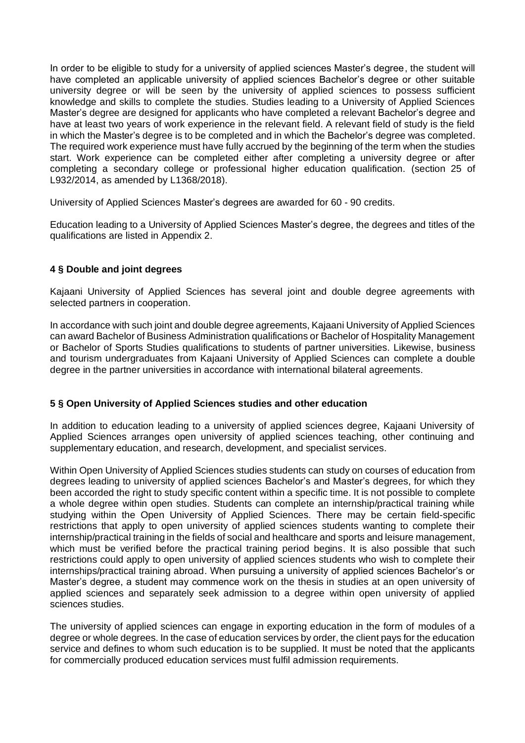In order to be eligible to study for a university of applied sciences Master's degree, the student will have completed an applicable university of applied sciences Bachelor's degree or other suitable university degree or will be seen by the university of applied sciences to possess sufficient knowledge and skills to complete the studies. Studies leading to a University of Applied Sciences Master's degree are designed for applicants who have completed a relevant Bachelor's degree and have at least two years of work experience in the relevant field. A relevant field of study is the field in which the Master's degree is to be completed and in which the Bachelor's degree was completed. The required work experience must have fully accrued by the beginning of the term when the studies start. Work experience can be completed either after completing a university degree or after completing a secondary college or professional higher education qualification. (section 25 of L932/2014, as amended by L1368/2018).

University of Applied Sciences Master's degrees are awarded for 60 - 90 credits.

Education leading to a University of Applied Sciences Master's degree, the degrees and titles of the qualifications are listed in Appendix 2.

### <span id="page-4-0"></span>**4 § Double and joint degrees**

Kajaani University of Applied Sciences has several joint and double degree agreements with selected partners in cooperation.

In accordance with such joint and double degree agreements, Kajaani University of Applied Sciences can award Bachelor of Business Administration qualifications or Bachelor of Hospitality Management or Bachelor of Sports Studies qualifications to students of partner universities. Likewise, business and tourism undergraduates from Kajaani University of Applied Sciences can complete a double degree in the partner universities in accordance with international bilateral agreements.

### <span id="page-4-1"></span>**5 § Open University of Applied Sciences studies and other education**

In addition to education leading to a university of applied sciences degree, Kajaani University of Applied Sciences arranges open university of applied sciences teaching, other continuing and supplementary education, and research, development, and specialist services.

Within Open University of Applied Sciences studies students can study on courses of education from degrees leading to university of applied sciences Bachelor's and Master's degrees, for which they been accorded the right to study specific content within a specific time. It is not possible to complete a whole degree within open studies. Students can complete an internship/practical training while studying within the Open University of Applied Sciences. There may be certain field-specific restrictions that apply to open university of applied sciences students wanting to complete their internship/practical training in the fields of social and healthcare and sports and leisure management, which must be verified before the practical training period begins. It is also possible that such restrictions could apply to open university of applied sciences students who wish to complete their internships/practical training abroad. When pursuing a university of applied sciences Bachelor's or Master's degree, a student may commence work on the thesis in studies at an open university of applied sciences and separately seek admission to a degree within open university of applied sciences studies.

The university of applied sciences can engage in exporting education in the form of modules of a degree or whole degrees. In the case of education services by order, the client pays for the education service and defines to whom such education is to be supplied. It must be noted that the applicants for commercially produced education services must fulfil admission requirements.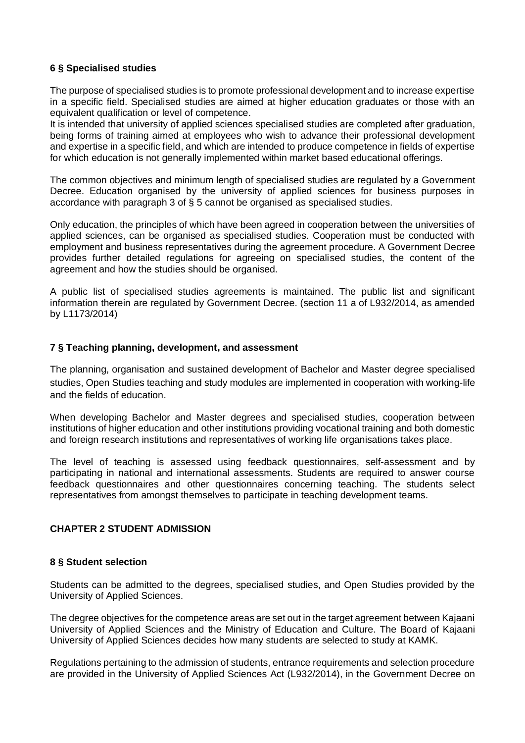### <span id="page-5-0"></span>**6 § Specialised studies**

The purpose of specialised studies is to promote professional development and to increase expertise in a specific field. Specialised studies are aimed at higher education graduates or those with an equivalent qualification or level of competence.

It is intended that university of applied sciences specialised studies are completed after graduation, being forms of training aimed at employees who wish to advance their professional development and expertise in a specific field, and which are intended to produce competence in fields of expertise for which education is not generally implemented within market based educational offerings.

The common objectives and minimum length of specialised studies are regulated by a Government Decree. Education organised by the university of applied sciences for business purposes in accordance with paragraph 3 of § 5 cannot be organised as specialised studies.

Only education, the principles of which have been agreed in cooperation between the universities of applied sciences, can be organised as specialised studies. Cooperation must be conducted with employment and business representatives during the agreement procedure. A Government Decree provides further detailed regulations for agreeing on specialised studies, the content of the agreement and how the studies should be organised.

A public list of specialised studies agreements is maintained. The public list and significant information therein are regulated by Government Decree. (section 11 a of L932/2014, as amended by L1173/2014)

### <span id="page-5-1"></span>**7 § Teaching planning, development, and assessment**

The planning, organisation and sustained development of Bachelor and Master degree specialised studies, Open Studies teaching and study modules are implemented in cooperation with working-life and the fields of education.

When developing Bachelor and Master degrees and specialised studies, cooperation between institutions of higher education and other institutions providing vocational training and both domestic and foreign research institutions and representatives of working life organisations takes place.

The level of teaching is assessed using feedback questionnaires, self-assessment and by participating in national and international assessments. Students are required to answer course feedback questionnaires and other questionnaires concerning teaching. The students select representatives from amongst themselves to participate in teaching development teams.

### <span id="page-5-2"></span>**CHAPTER 2 STUDENT ADMISSION**

### <span id="page-5-3"></span>**8 § Student selection**

Students can be admitted to the degrees, specialised studies, and Open Studies provided by the University of Applied Sciences.

The degree objectives for the competence areas are set out in the target agreement between Kajaani University of Applied Sciences and the Ministry of Education and Culture. The Board of Kajaani University of Applied Sciences decides how many students are selected to study at KAMK.

Regulations pertaining to the admission of students, entrance requirements and selection procedure are provided in the University of Applied Sciences Act (L932/2014), in the Government Decree on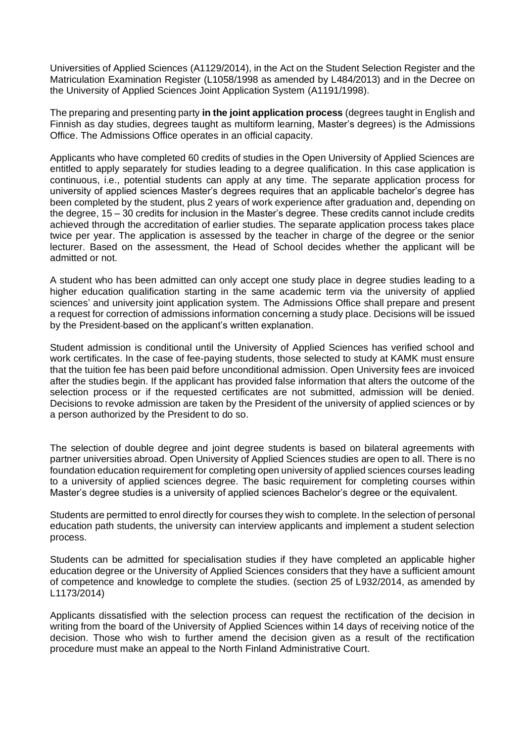Universities of Applied Sciences (A1129/2014), in the Act on the Student Selection Register and the Matriculation Examination Register (L1058/1998 as amended by L484/2013) and in the Decree on the University of Applied Sciences Joint Application System (A1191/1998).

The preparing and presenting party **in the joint application process** (degrees taught in English and Finnish as day studies, degrees taught as multiform learning, Master's degrees) is the Admissions Office. The Admissions Office operates in an official capacity.

Applicants who have completed 60 credits of studies in the Open University of Applied Sciences are entitled to apply separately for studies leading to a degree qualification. In this case application is continuous, i.e., potential students can apply at any time. The separate application process for university of applied sciences Master's degrees requires that an applicable bachelor's degree has been completed by the student, plus 2 years of work experience after graduation and, depending on the degree, 15 – 30 credits for inclusion in the Master's degree. These credits cannot include credits achieved through the accreditation of earlier studies. The separate application process takes place twice per year. The application is assessed by the teacher in charge of the degree or the senior lecturer. Based on the assessment, the Head of School decides whether the applicant will be admitted or not.

A student who has been admitted can only accept one study place in degree studies leading to a higher education qualification starting in the same academic term via the university of applied sciences' and university joint application system. The Admissions Office shall prepare and present a request for correction of admissions information concerning a study place. Decisions will be issued by the President-based on the applicant's written explanation.

Student admission is conditional until the University of Applied Sciences has verified school and work certificates. In the case of fee-paying students, those selected to study at KAMK must ensure that the tuition fee has been paid before unconditional admission. Open University fees are invoiced after the studies begin. If the applicant has provided false information that alters the outcome of the selection process or if the requested certificates are not submitted, admission will be denied. Decisions to revoke admission are taken by the President of the university of applied sciences or by a person authorized by the President to do so.

The selection of double degree and joint degree students is based on bilateral agreements with partner universities abroad. Open University of Applied Sciences studies are open to all. There is no foundation education requirement for completing open university of applied sciences courses leading to a university of applied sciences degree. The basic requirement for completing courses within Master's degree studies is a university of applied sciences Bachelor's degree or the equivalent.

Students are permitted to enrol directly for courses they wish to complete. In the selection of personal education path students, the university can interview applicants and implement a student selection process.

Students can be admitted for specialisation studies if they have completed an applicable higher education degree or the University of Applied Sciences considers that they have a sufficient amount of competence and knowledge to complete the studies. (section 25 of L932/2014, as amended by L1173/2014)

Applicants dissatisfied with the selection process can request the rectification of the decision in writing from the board of the University of Applied Sciences within 14 days of receiving notice of the decision. Those who wish to further amend the decision given as a result of the rectification procedure must make an appeal to the North Finland Administrative Court.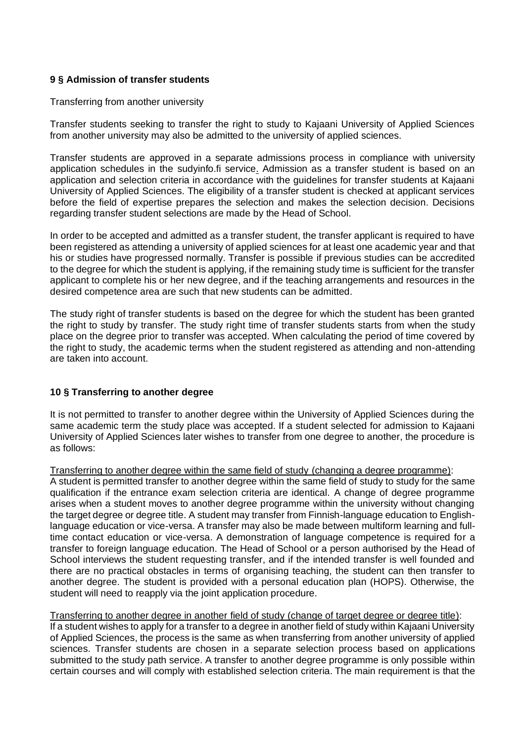### <span id="page-7-0"></span>**9 § Admission of transfer students**

#### Transferring from another university

Transfer students seeking to transfer the right to study to Kajaani University of Applied Sciences from another university may also be admitted to the university of applied sciences.

Transfer students are approved in a separate admissions process in compliance with university application schedules in the sudyinfo.fi service. Admission as a transfer student is based on an application and selection criteria in accordance with the guidelines for transfer students at Kajaani University of Applied Sciences. The eligibility of a transfer student is checked at applicant services before the field of expertise prepares the selection and makes the selection decision. Decisions regarding transfer student selections are made by the Head of School.

In order to be accepted and admitted as a transfer student, the transfer applicant is required to have been registered as attending a university of applied sciences for at least one academic year and that his or studies have progressed normally. Transfer is possible if previous studies can be accredited to the degree for which the student is applying, if the remaining study time is sufficient for the transfer applicant to complete his or her new degree, and if the teaching arrangements and resources in the desired competence area are such that new students can be admitted.

The study right of transfer students is based on the degree for which the student has been granted the right to study by transfer. The study right time of transfer students starts from when the study place on the degree prior to transfer was accepted. When calculating the period of time covered by the right to study, the academic terms when the student registered as attending and non-attending are taken into account.

### <span id="page-7-1"></span>**10 § Transferring to another degree**

It is not permitted to transfer to another degree within the University of Applied Sciences during the same academic term the study place was accepted. If a student selected for admission to Kajaani University of Applied Sciences later wishes to transfer from one degree to another, the procedure is as follows:

#### Transferring to another degree within the same field of study (changing a degree programme):

A student is permitted transfer to another degree within the same field of study to study for the same qualification if the entrance exam selection criteria are identical. A change of degree programme arises when a student moves to another degree programme within the university without changing the target degree or degree title. A student may transfer from Finnish-language education to Englishlanguage education or vice-versa. A transfer may also be made between multiform learning and fulltime contact education or vice-versa. A demonstration of language competence is required for a transfer to foreign language education. The Head of School or a person authorised by the Head of School interviews the student requesting transfer, and if the intended transfer is well founded and there are no practical obstacles in terms of organising teaching, the student can then transfer to another degree. The student is provided with a personal education plan (HOPS). Otherwise, the student will need to reapply via the joint application procedure.

#### Transferring to another degree in another field of study (change of target degree or degree title):

If a student wishes to apply for a transfer to a degree in another field of study within Kajaani University of Applied Sciences, the process is the same as when transferring from another university of applied sciences. Transfer students are chosen in a separate selection process based on applications submitted to the study path service. A transfer to another degree programme is only possible within certain courses and will comply with established selection criteria. The main requirement is that the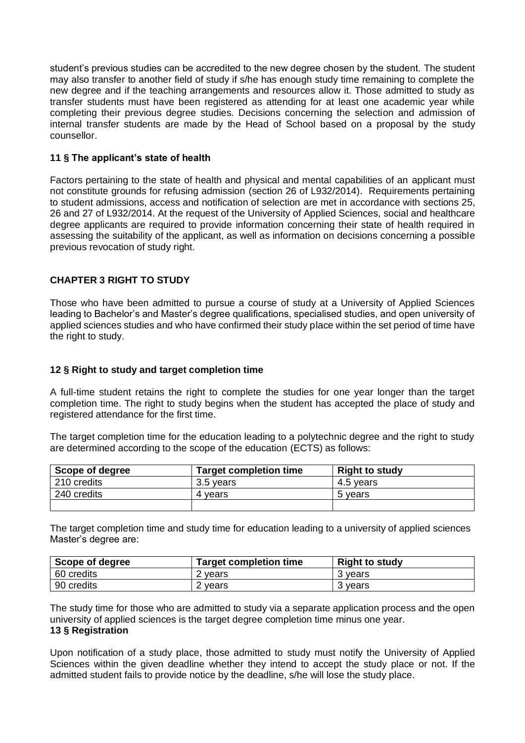student's previous studies can be accredited to the new degree chosen by the student. The student may also transfer to another field of study if s/he has enough study time remaining to complete the new degree and if the teaching arrangements and resources allow it. Those admitted to study as transfer students must have been registered as attending for at least one academic year while completing their previous degree studies. Decisions concerning the selection and admission of internal transfer students are made by the Head of School based on a proposal by the study counsellor.

### <span id="page-8-0"></span>**11 § The applicant's state of health**

Factors pertaining to the state of health and physical and mental capabilities of an applicant must not constitute grounds for refusing admission (section 26 of L932/2014). Requirements pertaining to student admissions, access and notification of selection are met in accordance with sections 25, 26 and 27 of L932/2014. At the request of the University of Applied Sciences, social and healthcare degree applicants are required to provide information concerning their state of health required in assessing the suitability of the applicant, as well as information on decisions concerning a possible previous revocation of study right.

### <span id="page-8-1"></span>**CHAPTER 3 RIGHT TO STUDY**

Those who have been admitted to pursue a course of study at a University of Applied Sciences leading to Bachelor's and Master's degree qualifications, specialised studies, and open university of applied sciences studies and who have confirmed their study place within the set period of time have the right to study.

#### <span id="page-8-2"></span>**12 § Right to study and target completion time**

A full-time student retains the right to complete the studies for one year longer than the target completion time. The right to study begins when the student has accepted the place of study and registered attendance for the first time.

The target completion time for the education leading to a polytechnic degree and the right to study are determined according to the scope of the education (ECTS) as follows:

| Scope of degree | <b>Target completion time</b> | <b>Right to study</b> |
|-----------------|-------------------------------|-----------------------|
| 210 credits     | 3.5 years                     | 4.5 years             |
| 240 credits     | 4 vears                       | 5 years               |
|                 |                               |                       |

The target completion time and study time for education leading to a university of applied sciences Master's degree are:

| Scope of degree | <b>Target completion time</b> | <b>Right to study</b> |
|-----------------|-------------------------------|-----------------------|
| 60 credits      | 2 years                       | 3 vears               |
| 90 credits      | 2 years                       | 3 vears               |

<span id="page-8-3"></span>The study time for those who are admitted to study via a separate application process and the open university of applied sciences is the target degree completion time minus one year. **13 § Registration**

Upon notification of a study place, those admitted to study must notify the University of Applied Sciences within the given deadline whether they intend to accept the study place or not. If the admitted student fails to provide notice by the deadline, s/he will lose the study place.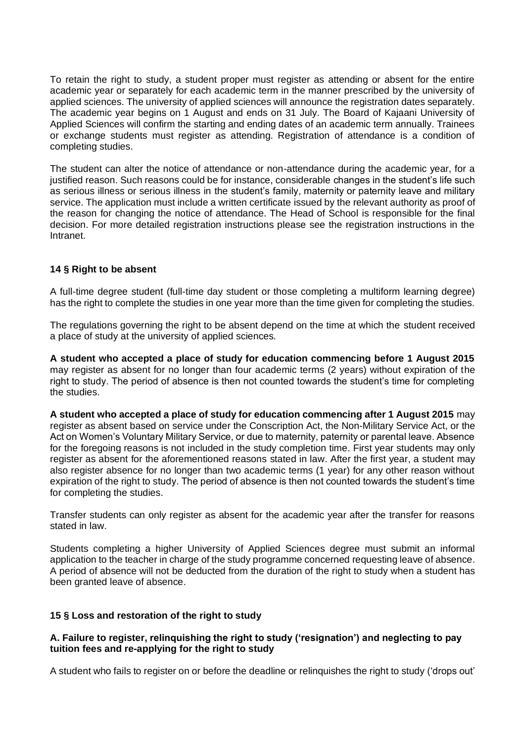To retain the right to study, a student proper must register as attending or absent for the entire academic year or separately for each academic term in the manner prescribed by the university of applied sciences. The university of applied sciences will announce the registration dates separately. The academic year begins on 1 August and ends on 31 July. The Board of Kajaani University of Applied Sciences will confirm the starting and ending dates of an academic term annually. Trainees or exchange students must register as attending. Registration of attendance is a condition of completing studies.

The student can alter the notice of attendance or non-attendance during the academic year, for a justified reason. Such reasons could be for instance, considerable changes in the student's life such as serious illness or serious illness in the student's family, maternity or paternity leave and military service. The application must include a written certificate issued by the relevant authority as proof of the reason for changing the notice of attendance. The Head of School is responsible for the final decision. For more detailed registration instructions please see the registration instructions in the Intranet.

### <span id="page-9-0"></span>**14 § Right to be absent**

A full-time degree student (full-time day student or those completing a multiform learning degree) has the right to complete the studies in one year more than the time given for completing the studies.

The regulations governing the right to be absent depend on the time at which the student received a place of study at the university of applied sciences.

**A student who accepted a place of study for education commencing before 1 August 2015** may register as absent for no longer than four academic terms (2 years) without expiration of the right to study. The period of absence is then not counted towards the student's time for completing the studies.

**A student who accepted a place of study for education commencing after 1 August 2015** may register as absent based on service under the Conscription Act, the Non-Military Service Act, or the Act on Women's Voluntary Military Service, or due to maternity, paternity or parental leave. Absence for the foregoing reasons is not included in the study completion time. First year students may only register as absent for the aforementioned reasons stated in law. After the first year, a student may also register absence for no longer than two academic terms (1 year) for any other reason without expiration of the right to study. The period of absence is then not counted towards the student's time for completing the studies.

Transfer students can only register as absent for the academic year after the transfer for reasons stated in law.

Students completing a higher University of Applied Sciences degree must submit an informal application to the teacher in charge of the study programme concerned requesting leave of absence. A period of absence will not be deducted from the duration of the right to study when a student has been granted leave of absence.

### <span id="page-9-1"></span>**15 § Loss and restoration of the right to study**

### **A. Failure to register, relinquishing the right to study ('resignation') and neglecting to pay tuition fees and re-applying for the right to study**

A student who fails to register on or before the deadline or relinquishes the right to study ('drops out'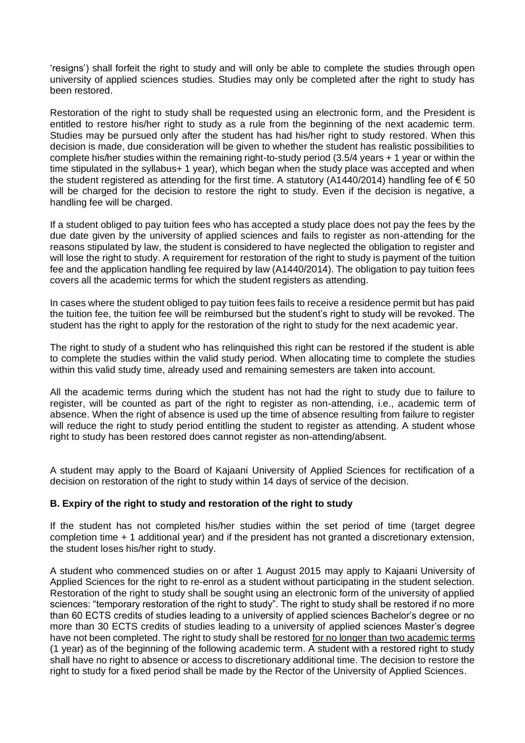'resigns') shall forfeit the right to study and will only be able to complete the studies through open university of applied sciences studies. Studies may only be completed after the right to study has been restored.

Restoration of the right to study shall be requested using an electronic form, and the President is entitled to restore his/her right to study as a rule from the beginning of the next academic term. Studies may be pursued only after the student has had his/her right to study restored. When this decision is made, due consideration will be given to whether the student has realistic possibilities to complete his/her studies within the remaining right-to-study period (3.5/4 years + 1 year or within the time stipulated in the syllabus+ 1 year), which began when the study place was accepted and when the student registered as attending for the first time. A statutory (A1440/2014) handling fee of  $\epsilon$  50 will be charged for the decision to restore the right to study. Even if the decision is negative, a handling fee will be charged.

If a student obliged to pay tuition fees who has accepted a study place does not pay the fees by the due date given by the university of applied sciences and fails to register as non-attending for the reasons stipulated by law, the student is considered to have neglected the obligation to register and will lose the right to study. A requirement for restoration of the right to study is payment of the tuition fee and the application handling fee required by law (A1440/2014). The obligation to pay tuition fees covers all the academic terms for which the student registers as attending.

In cases where the student obliged to pay tuition fees fails to receive a residence permit but has paid the tuition fee, the tuition fee will be reimbursed but the student's right to study will be revoked. The student has the right to apply for the restoration of the right to study for the next academic year.

The right to study of a student who has relinquished this right can be restored if the student is able to complete the studies within the valid study period. When allocating time to complete the studies within this valid study time, already used and remaining semesters are taken into account.

All the academic terms during which the student has not had the right to study due to failure to register, will be counted as part of the right to register as non-attending, i.e., academic term of absence. When the right of absence is used up the time of absence resulting from failure to register will reduce the right to study period entitling the student to register as attending. A student whose right to study has been restored does cannot register as non-attending/absent.

A student may apply to the Board of Kajaani University of Applied Sciences for rectification of a decision on restoration of the right to study within 14 days of service of the decision.

### **B. Expiry of the right to study and restoration of the right to study**

If the student has not completed his/her studies within the set period of time (target degree completion time + 1 additional year) and if the president has not granted a discretionary extension, the student loses his/her right to study.

A student who commenced studies on or after 1 August 2015 may apply to Kajaani University of Applied Sciences for the right to re-enrol as a student without participating in the student selection. Restoration of the right to study shall be sought using an electronic form of the university of applied sciences: "temporary restoration of the right to study". The right to study shall be restored if no more than 60 ECTS credits of studies leading to a university of applied sciences Bachelor's degree or no more than 30 ECTS credits of studies leading to a university of applied sciences Master's degree have not been completed. The right to study shall be restored for no longer than two academic terms (1 year) as of the beginning of the following academic term. A student with a restored right to study shall have no right to absence or access to discretionary additional time. The decision to restore the right to study for a fixed period shall be made by the Rector of the University of Applied Sciences.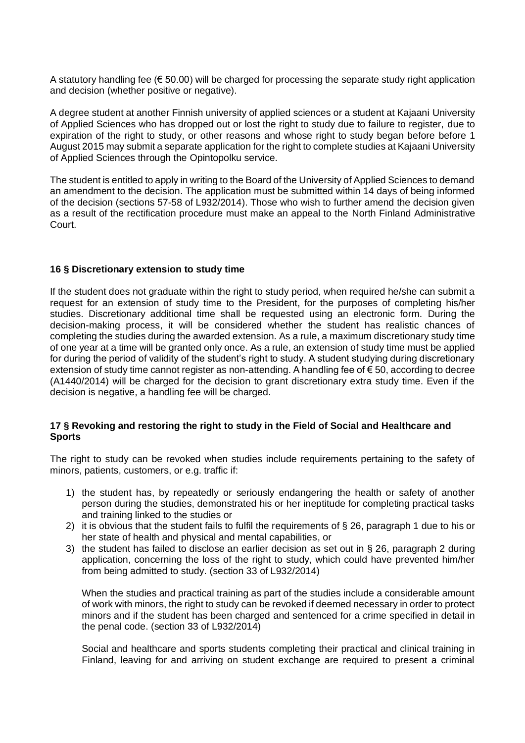A statutory handling fee ( $\epsilon$  50.00) will be charged for processing the separate study right application and decision (whether positive or negative).

A degree student at another Finnish university of applied sciences or a student at Kajaani University of Applied Sciences who has dropped out or lost the right to study due to failure to register, due to expiration of the right to study, or other reasons and whose right to study began before before 1 August 2015 may submit a separate application for the right to complete studies at Kajaani University of Applied Sciences through the Opintopolku service.

The student is entitled to apply in writing to the Board of the University of Applied Sciences to demand an amendment to the decision. The application must be submitted within 14 days of being informed of the decision (sections 57-58 of L932/2014). Those who wish to further amend the decision given as a result of the rectification procedure must make an appeal to the North Finland Administrative Court.

### <span id="page-11-0"></span>**16 § Discretionary extension to study time**

If the student does not graduate within the right to study period, when required he/she can submit a request for an extension of study time to the President, for the purposes of completing his/her studies. Discretionary additional time shall be requested using an electronic form. During the decision-making process, it will be considered whether the student has realistic chances of completing the studies during the awarded extension. As a rule, a maximum discretionary study time of one year at a time will be granted only once. As a rule, an extension of study time must be applied for during the period of validity of the student's right to study. A student studying during discretionary extension of study time cannot register as non-attending. A handling fee of € 50, according to decree (A1440/2014) will be charged for the decision to grant discretionary extra study time. Even if the decision is negative, a handling fee will be charged.

### <span id="page-11-1"></span>**17 § Revoking and restoring the right to study in the Field of Social and Healthcare and Sports**

The right to study can be revoked when studies include requirements pertaining to the safety of minors, patients, customers, or e.g. traffic if:

- 1) the student has, by repeatedly or seriously endangering the health or safety of another person during the studies, demonstrated his or her ineptitude for completing practical tasks and training linked to the studies or
- 2) it is obvious that the student fails to fulfil the requirements of § 26, paragraph 1 due to his or her state of health and physical and mental capabilities, or
- 3) the student has failed to disclose an earlier decision as set out in § 26, paragraph 2 during application, concerning the loss of the right to study, which could have prevented him/her from being admitted to study. (section 33 of L932/2014)

When the studies and practical training as part of the studies include a considerable amount of work with minors, the right to study can be revoked if deemed necessary in order to protect minors and if the student has been charged and sentenced for a crime specified in detail in the penal code. (section 33 of L932/2014)

Social and healthcare and sports students completing their practical and clinical training in Finland, leaving for and arriving on student exchange are required to present a criminal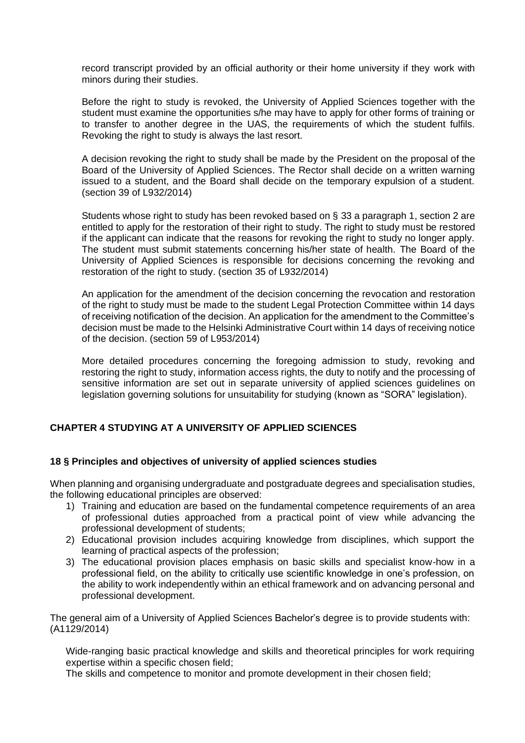record transcript provided by an official authority or their home university if they work with minors during their studies.

Before the right to study is revoked, the University of Applied Sciences together with the student must examine the opportunities s/he may have to apply for other forms of training or to transfer to another degree in the UAS, the requirements of which the student fulfils. Revoking the right to study is always the last resort.

A decision revoking the right to study shall be made by the President on the proposal of the Board of the University of Applied Sciences. The Rector shall decide on a written warning issued to a student, and the Board shall decide on the temporary expulsion of a student. (section 39 of L932/2014)

Students whose right to study has been revoked based on § 33 a paragraph 1, section 2 are entitled to apply for the restoration of their right to study. The right to study must be restored if the applicant can indicate that the reasons for revoking the right to study no longer apply. The student must submit statements concerning his/her state of health. The Board of the University of Applied Sciences is responsible for decisions concerning the revoking and restoration of the right to study. (section 35 of L932/2014)

An application for the amendment of the decision concerning the revocation and restoration of the right to study must be made to the student Legal Protection Committee within 14 days of receiving notification of the decision. An application for the amendment to the Committee's decision must be made to the Helsinki Administrative Court within 14 days of receiving notice of the decision. (section 59 of L953/2014)

More detailed procedures concerning the foregoing admission to study, revoking and restoring the right to study, information access rights, the duty to notify and the processing of sensitive information are set out in separate university of applied sciences guidelines on legislation governing solutions for unsuitability for studying (known as "SORA" legislation).

## <span id="page-12-0"></span>**CHAPTER 4 STUDYING AT A UNIVERSITY OF APPLIED SCIENCES**

### <span id="page-12-1"></span>**18 § Principles and objectives of university of applied sciences studies**

When planning and organising undergraduate and postgraduate degrees and specialisation studies, the following educational principles are observed:

- 1) Training and education are based on the fundamental competence requirements of an area of professional duties approached from a practical point of view while advancing the professional development of students;
- 2) Educational provision includes acquiring knowledge from disciplines, which support the learning of practical aspects of the profession;
- 3) The educational provision places emphasis on basic skills and specialist know-how in a professional field, on the ability to critically use scientific knowledge in one's profession, on the ability to work independently within an ethical framework and on advancing personal and professional development.

The general aim of a University of Applied Sciences Bachelor's degree is to provide students with: (A1129/2014)

Wide-ranging basic practical knowledge and skills and theoretical principles for work requiring expertise within a specific chosen field;

The skills and competence to monitor and promote development in their chosen field;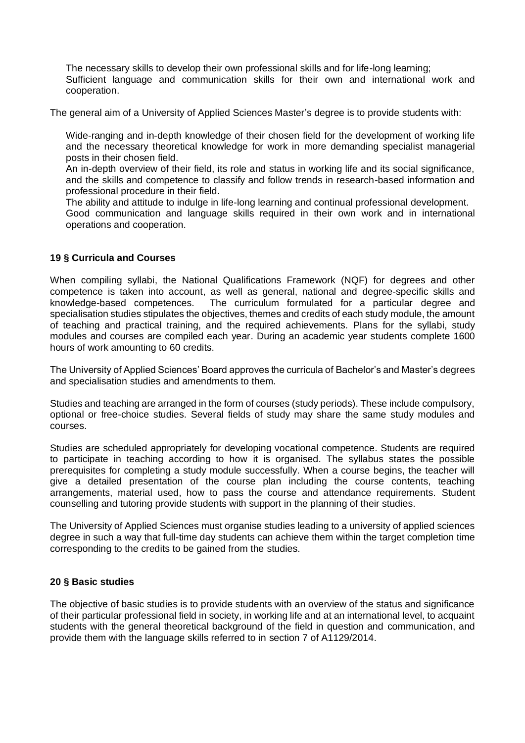The necessary skills to develop their own professional skills and for life-long learning; Sufficient language and communication skills for their own and international work and cooperation.

The general aim of a University of Applied Sciences Master's degree is to provide students with:

Wide-ranging and in-depth knowledge of their chosen field for the development of working life and the necessary theoretical knowledge for work in more demanding specialist managerial posts in their chosen field.

An in-depth overview of their field, its role and status in working life and its social significance, and the skills and competence to classify and follow trends in research-based information and professional procedure in their field.

The ability and attitude to indulge in life-long learning and continual professional development.

Good communication and language skills required in their own work and in international operations and cooperation.

### <span id="page-13-0"></span>**19 § Curricula and Courses**

When compiling syllabi, the National Qualifications Framework (NQF) for degrees and other competence is taken into account, as well as general, national and degree-specific skills and knowledge-based competences. The curriculum formulated for a particular degree and specialisation studies stipulates the objectives, themes and credits of each study module, the amount of teaching and practical training, and the required achievements. Plans for the syllabi, study modules and courses are compiled each year. During an academic year students complete 1600 hours of work amounting to 60 credits.

The University of Applied Sciences' Board approves the curricula of Bachelor's and Master's degrees and specialisation studies and amendments to them.

Studies and teaching are arranged in the form of courses (study periods). These include compulsory, optional or free-choice studies. Several fields of study may share the same study modules and courses.

Studies are scheduled appropriately for developing vocational competence. Students are required to participate in teaching according to how it is organised. The syllabus states the possible prerequisites for completing a study module successfully. When a course begins, the teacher will give a detailed presentation of the course plan including the course contents, teaching arrangements, material used, how to pass the course and attendance requirements. Student counselling and tutoring provide students with support in the planning of their studies.

The University of Applied Sciences must organise studies leading to a university of applied sciences degree in such a way that full-time day students can achieve them within the target completion time corresponding to the credits to be gained from the studies.

### <span id="page-13-1"></span>**20 § Basic studies**

The objective of basic studies is to provide students with an overview of the status and significance of their particular professional field in society, in working life and at an international level, to acquaint students with the general theoretical background of the field in question and communication, and provide them with the language skills referred to in section 7 of A1129/2014.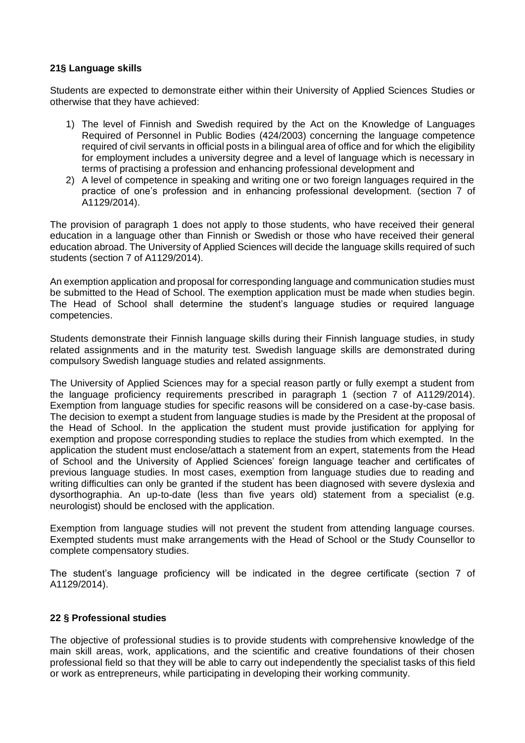### <span id="page-14-0"></span>**21§ Language skills**

Students are expected to demonstrate either within their University of Applied Sciences Studies or otherwise that they have achieved:

- 1) The level of Finnish and Swedish required by the Act on the Knowledge of Languages Required of Personnel in Public Bodies (424/2003) concerning the language competence required of civil servants in official posts in a bilingual area of office and for which the eligibility for employment includes a university degree and a level of language which is necessary in terms of practising a profession and enhancing professional development and
- 2) A level of competence in speaking and writing one or two foreign languages required in the practice of one's profession and in enhancing professional development. (section 7 of A1129/2014).

The provision of paragraph 1 does not apply to those students, who have received their general education in a language other than Finnish or Swedish or those who have received their general education abroad. The University of Applied Sciences will decide the language skills required of such students (section 7 of A1129/2014).

An exemption application and proposal for corresponding language and communication studies must be submitted to the Head of School. The exemption application must be made when studies begin. The Head of School shall determine the student's language studies or required language competencies.

Students demonstrate their Finnish language skills during their Finnish language studies, in study related assignments and in the maturity test. Swedish language skills are demonstrated during compulsory Swedish language studies and related assignments.

The University of Applied Sciences may for a special reason partly or fully exempt a student from the language proficiency requirements prescribed in paragraph 1 (section 7 of A1129/2014). Exemption from language studies for specific reasons will be considered on a case-by-case basis. The decision to exempt a student from language studies is made by the President at the proposal of the Head of School. In the application the student must provide justification for applying for exemption and propose corresponding studies to replace the studies from which exempted. In the application the student must enclose/attach a statement from an expert, statements from the Head of School and the University of Applied Sciences' foreign language teacher and certificates of previous language studies. In most cases, exemption from language studies due to reading and writing difficulties can only be granted if the student has been diagnosed with severe dyslexia and dysorthographia. An up-to-date (less than five years old) statement from a specialist (e.g. neurologist) should be enclosed with the application.

Exemption from language studies will not prevent the student from attending language courses. Exempted students must make arrangements with the Head of School or the Study Counsellor to complete compensatory studies.

The student's language proficiency will be indicated in the degree certificate (section 7 of A1129/2014).

### <span id="page-14-1"></span>**22 § Professional studies**

The objective of professional studies is to provide students with comprehensive knowledge of the main skill areas, work, applications, and the scientific and creative foundations of their chosen professional field so that they will be able to carry out independently the specialist tasks of this field or work as entrepreneurs, while participating in developing their working community.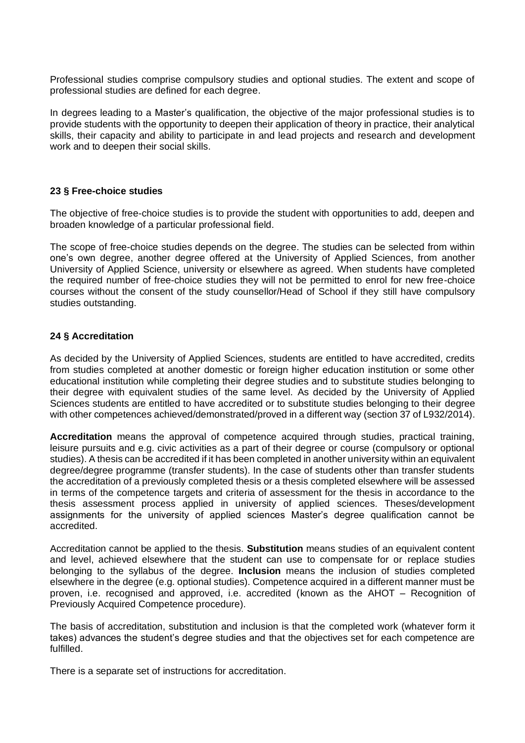Professional studies comprise compulsory studies and optional studies. The extent and scope of professional studies are defined for each degree.

In degrees leading to a Master's qualification, the objective of the major professional studies is to provide students with the opportunity to deepen their application of theory in practice, their analytical skills, their capacity and ability to participate in and lead projects and research and development work and to deepen their social skills.

#### <span id="page-15-0"></span>**23 § Free-choice studies**

The objective of free-choice studies is to provide the student with opportunities to add, deepen and broaden knowledge of a particular professional field.

The scope of free-choice studies depends on the degree. The studies can be selected from within one's own degree, another degree offered at the University of Applied Sciences, from another University of Applied Science, university or elsewhere as agreed. When students have completed the required number of free-choice studies they will not be permitted to enrol for new free-choice courses without the consent of the study counsellor/Head of School if they still have compulsory studies outstanding.

### <span id="page-15-1"></span>**24 § Accreditation**

As decided by the University of Applied Sciences, students are entitled to have accredited, credits from studies completed at another domestic or foreign higher education institution or some other educational institution while completing their degree studies and to substitute studies belonging to their degree with equivalent studies of the same level. As decided by the University of Applied Sciences students are entitled to have accredited or to substitute studies belonging to their degree with other competences achieved/demonstrated/proved in a different way (section 37 of L932/2014).

**Accreditation** means the approval of competence acquired through studies, practical training, leisure pursuits and e.g. civic activities as a part of their degree or course (compulsory or optional studies). A thesis can be accredited if it has been completed in another university within an equivalent degree/degree programme (transfer students). In the case of students other than transfer students the accreditation of a previously completed thesis or a thesis completed elsewhere will be assessed in terms of the competence targets and criteria of assessment for the thesis in accordance to the thesis assessment process applied in university of applied sciences. Theses/development assignments for the university of applied sciences Master's degree qualification cannot be accredited.

Accreditation cannot be applied to the thesis. **Substitution** means studies of an equivalent content and level, achieved elsewhere that the student can use to compensate for or replace studies belonging to the syllabus of the degree. **Inclusion** means the inclusion of studies completed elsewhere in the degree (e.g. optional studies). Competence acquired in a different manner must be proven, i.e. recognised and approved, i.e. accredited (known as the AHOT – Recognition of Previously Acquired Competence procedure).

The basis of accreditation, substitution and inclusion is that the completed work (whatever form it takes) advances the student's degree studies and that the objectives set for each competence are fulfilled.

There is a separate set of instructions for accreditation.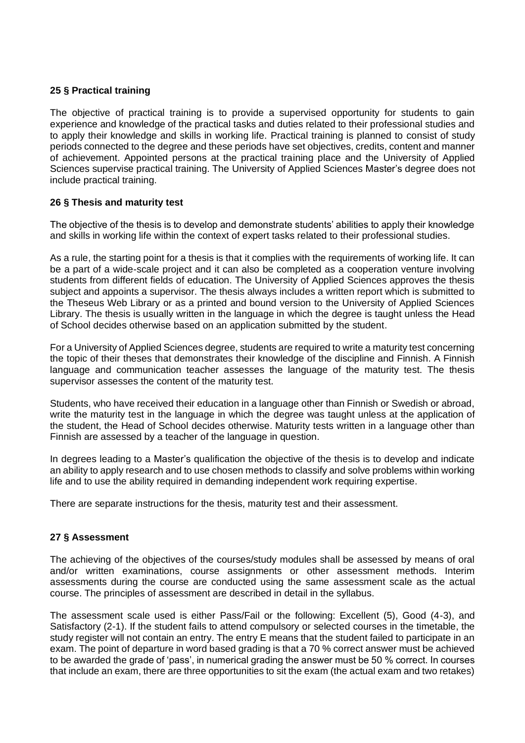### <span id="page-16-0"></span>**25 § Practical training**

The objective of practical training is to provide a supervised opportunity for students to gain experience and knowledge of the practical tasks and duties related to their professional studies and to apply their knowledge and skills in working life. Practical training is planned to consist of study periods connected to the degree and these periods have set objectives, credits, content and manner of achievement. Appointed persons at the practical training place and the University of Applied Sciences supervise practical training. The University of Applied Sciences Master's degree does not include practical training.

### <span id="page-16-1"></span>**26 § Thesis and maturity test**

The objective of the thesis is to develop and demonstrate students' abilities to apply their knowledge and skills in working life within the context of expert tasks related to their professional studies.

As a rule, the starting point for a thesis is that it complies with the requirements of working life. It can be a part of a wide-scale project and it can also be completed as a cooperation venture involving students from different fields of education. The University of Applied Sciences approves the thesis subject and appoints a supervisor. The thesis always includes a written report which is submitted to the Theseus Web Library or as a printed and bound version to the University of Applied Sciences Library. The thesis is usually written in the language in which the degree is taught unless the Head of School decides otherwise based on an application submitted by the student.

For a University of Applied Sciences degree, students are required to write a maturity test concerning the topic of their theses that demonstrates their knowledge of the discipline and Finnish. A Finnish language and communication teacher assesses the language of the maturity test. The thesis supervisor assesses the content of the maturity test.

Students, who have received their education in a language other than Finnish or Swedish or abroad, write the maturity test in the language in which the degree was taught unless at the application of the student, the Head of School decides otherwise. Maturity tests written in a language other than Finnish are assessed by a teacher of the language in question.

In degrees leading to a Master's qualification the objective of the thesis is to develop and indicate an ability to apply research and to use chosen methods to classify and solve problems within working life and to use the ability required in demanding independent work requiring expertise.

There are separate instructions for the thesis, maturity test and their assessment.

### <span id="page-16-2"></span>**27 § Assessment**

The achieving of the objectives of the courses/study modules shall be assessed by means of oral and/or written examinations, course assignments or other assessment methods. Interim assessments during the course are conducted using the same assessment scale as the actual course. The principles of assessment are described in detail in the syllabus.

The assessment scale used is either Pass/Fail or the following: Excellent (5), Good (4-3), and Satisfactory (2-1). If the student fails to attend compulsory or selected courses in the timetable, the study register will not contain an entry. The entry E means that the student failed to participate in an exam. The point of departure in word based grading is that a 70 % correct answer must be achieved to be awarded the grade of 'pass', in numerical grading the answer must be 50 % correct. In courses that include an exam, there are three opportunities to sit the exam (the actual exam and two retakes)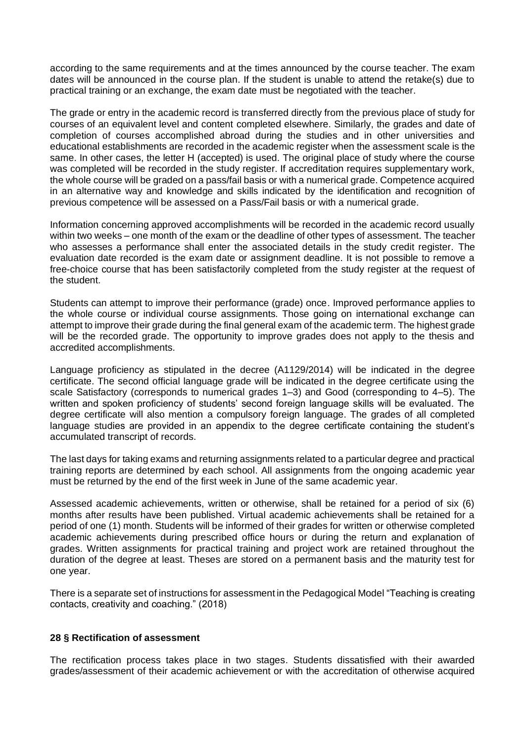according to the same requirements and at the times announced by the course teacher. The exam dates will be announced in the course plan. If the student is unable to attend the retake(s) due to practical training or an exchange, the exam date must be negotiated with the teacher.

The grade or entry in the academic record is transferred directly from the previous place of study for courses of an equivalent level and content completed elsewhere. Similarly, the grades and date of completion of courses accomplished abroad during the studies and in other universities and educational establishments are recorded in the academic register when the assessment scale is the same. In other cases, the letter H (accepted) is used. The original place of study where the course was completed will be recorded in the study register. If accreditation requires supplementary work, the whole course will be graded on a pass/fail basis or with a numerical grade. Competence acquired in an alternative way and knowledge and skills indicated by the identification and recognition of previous competence will be assessed on a Pass/Fail basis or with a numerical grade.

Information concerning approved accomplishments will be recorded in the academic record usually within two weeks – one month of the exam or the deadline of other types of assessment. The teacher who assesses a performance shall enter the associated details in the study credit register. The evaluation date recorded is the exam date or assignment deadline. It is not possible to remove a free-choice course that has been satisfactorily completed from the study register at the request of the student.

Students can attempt to improve their performance (grade) once. Improved performance applies to the whole course or individual course assignments. Those going on international exchange can attempt to improve their grade during the final general exam of the academic term. The highest grade will be the recorded grade. The opportunity to improve grades does not apply to the thesis and accredited accomplishments.

Language proficiency as stipulated in the decree (A1129/2014) will be indicated in the degree certificate. The second official language grade will be indicated in the degree certificate using the scale Satisfactory (corresponds to numerical grades 1–3) and Good (corresponding to 4–5). The written and spoken proficiency of students' second foreign language skills will be evaluated. The degree certificate will also mention a compulsory foreign language. The grades of all completed language studies are provided in an appendix to the degree certificate containing the student's accumulated transcript of records.

The last days for taking exams and returning assignments related to a particular degree and practical training reports are determined by each school. All assignments from the ongoing academic year must be returned by the end of the first week in June of the same academic year.

Assessed academic achievements, written or otherwise, shall be retained for a period of six (6) months after results have been published. Virtual academic achievements shall be retained for a period of one (1) month. Students will be informed of their grades for written or otherwise completed academic achievements during prescribed office hours or during the return and explanation of grades. Written assignments for practical training and project work are retained throughout the duration of the degree at least. Theses are stored on a permanent basis and the maturity test for one year.

There is a separate set of instructions for assessment in the Pedagogical Model "Teaching is creating contacts, creativity and coaching." (2018)

### <span id="page-17-0"></span>**28 § Rectification of assessment**

The rectification process takes place in two stages. Students dissatisfied with their awarded grades/assessment of their academic achievement or with the accreditation of otherwise acquired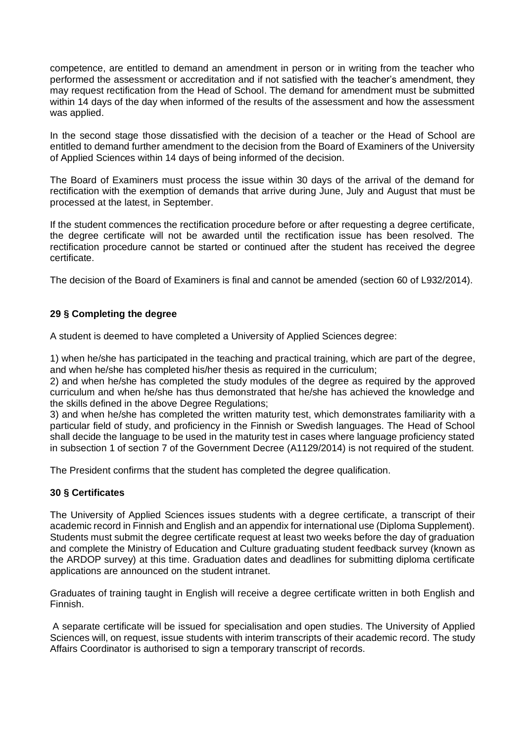competence, are entitled to demand an amendment in person or in writing from the teacher who performed the assessment or accreditation and if not satisfied with the teacher's amendment, they may request rectification from the Head of School. The demand for amendment must be submitted within 14 days of the day when informed of the results of the assessment and how the assessment was applied.

In the second stage those dissatisfied with the decision of a teacher or the Head of School are entitled to demand further amendment to the decision from the Board of Examiners of the University of Applied Sciences within 14 days of being informed of the decision.

The Board of Examiners must process the issue within 30 days of the arrival of the demand for rectification with the exemption of demands that arrive during June, July and August that must be processed at the latest, in September.

If the student commences the rectification procedure before or after requesting a degree certificate, the degree certificate will not be awarded until the rectification issue has been resolved. The rectification procedure cannot be started or continued after the student has received the degree certificate.

The decision of the Board of Examiners is final and cannot be amended (section 60 of L932/2014).

## <span id="page-18-0"></span>**29 § Completing the degree**

A student is deemed to have completed a University of Applied Sciences degree:

1) when he/she has participated in the teaching and practical training, which are part of the degree, and when he/she has completed his/her thesis as required in the curriculum;

2) and when he/she has completed the study modules of the degree as required by the approved curriculum and when he/she has thus demonstrated that he/she has achieved the knowledge and the skills defined in the above Degree Regulations;

3) and when he/she has completed the written maturity test, which demonstrates familiarity with a particular field of study, and proficiency in the Finnish or Swedish languages. The Head of School shall decide the language to be used in the maturity test in cases where language proficiency stated in subsection 1 of section 7 of the Government Decree (A1129/2014) is not required of the student.

The President confirms that the student has completed the degree qualification.

## <span id="page-18-1"></span>**30 § Certificates**

The University of Applied Sciences issues students with a degree certificate, a transcript of their academic record in Finnish and English and an appendix for international use (Diploma Supplement). Students must submit the degree certificate request at least two weeks before the day of graduation and complete the Ministry of Education and Culture graduating student feedback survey (known as the ARDOP survey) at this time. Graduation dates and deadlines for submitting diploma certificate applications are announced on the student intranet.

Graduates of training taught in English will receive a degree certificate written in both English and Finnish.

A separate certificate will be issued for specialisation and open studies. The University of Applied Sciences will, on request, issue students with interim transcripts of their academic record. The study Affairs Coordinator is authorised to sign a temporary transcript of records.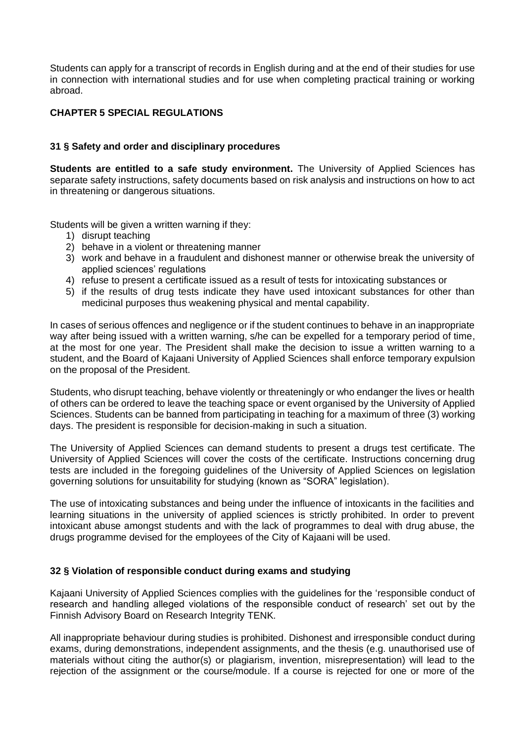Students can apply for a transcript of records in English during and at the end of their studies for use in connection with international studies and for use when completing practical training or working abroad.

### <span id="page-19-0"></span>**CHAPTER 5 SPECIAL REGULATIONS**

### <span id="page-19-1"></span>**31 § Safety and order and disciplinary procedures**

**Students are entitled to a safe study environment.** The University of Applied Sciences has separate safety instructions, safety documents based on risk analysis and instructions on how to act in threatening or dangerous situations.

Students will be given a written warning if they:

- 1) disrupt teaching
- 2) behave in a violent or threatening manner
- 3) work and behave in a fraudulent and dishonest manner or otherwise break the university of applied sciences' regulations
- 4) refuse to present a certificate issued as a result of tests for intoxicating substances or
- 5) if the results of drug tests indicate they have used intoxicant substances for other than medicinal purposes thus weakening physical and mental capability.

In cases of serious offences and negligence or if the student continues to behave in an inappropriate way after being issued with a written warning, s/he can be expelled for a temporary period of time, at the most for one year. The President shall make the decision to issue a written warning to a student, and the Board of Kajaani University of Applied Sciences shall enforce temporary expulsion on the proposal of the President.

Students, who disrupt teaching, behave violently or threateningly or who endanger the lives or health of others can be ordered to leave the teaching space or event organised by the University of Applied Sciences. Students can be banned from participating in teaching for a maximum of three (3) working days. The president is responsible for decision-making in such a situation.

The University of Applied Sciences can demand students to present a drugs test certificate. The University of Applied Sciences will cover the costs of the certificate. Instructions concerning drug tests are included in the foregoing guidelines of the University of Applied Sciences on legislation governing solutions for unsuitability for studying (known as "SORA" legislation).

The use of intoxicating substances and being under the influence of intoxicants in the facilities and learning situations in the university of applied sciences is strictly prohibited. In order to prevent intoxicant abuse amongst students and with the lack of programmes to deal with drug abuse, the drugs programme devised for the employees of the City of Kajaani will be used.

### <span id="page-19-2"></span>**32 § Violation of responsible conduct during exams and studying**

Kajaani University of Applied Sciences complies with the guidelines for the 'responsible conduct of research and handling alleged violations of the responsible conduct of research' set out by the Finnish Advisory Board on Research Integrity TENK.

All inappropriate behaviour during studies is prohibited. Dishonest and irresponsible conduct during exams, during demonstrations, independent assignments, and the thesis (e.g. unauthorised use of materials without citing the author(s) or plagiarism, invention, misrepresentation) will lead to the rejection of the assignment or the course/module. If a course is rejected for one or more of the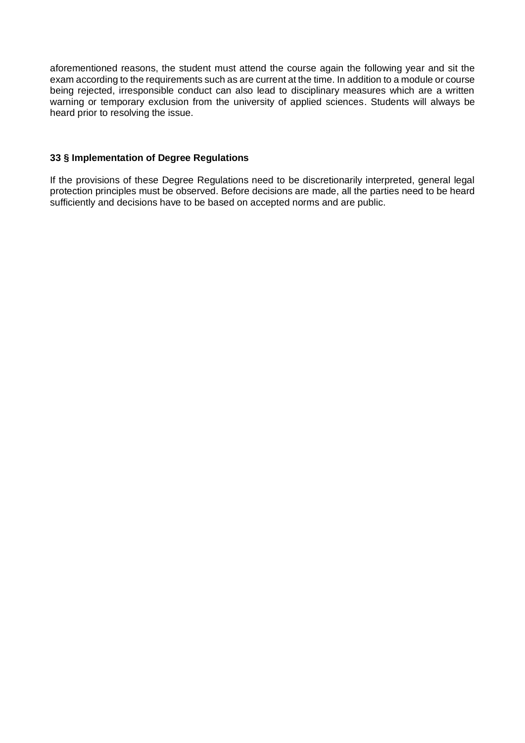aforementioned reasons, the student must attend the course again the following year and sit the exam according to the requirements such as are current at the time. In addition to a module or course being rejected, irresponsible conduct can also lead to disciplinary measures which are a written warning or temporary exclusion from the university of applied sciences. Students will always be heard prior to resolving the issue.

#### <span id="page-20-0"></span>**33 § Implementation of Degree Regulations**

If the provisions of these Degree Regulations need to be discretionarily interpreted, general legal protection principles must be observed. Before decisions are made, all the parties need to be heard sufficiently and decisions have to be based on accepted norms and are public.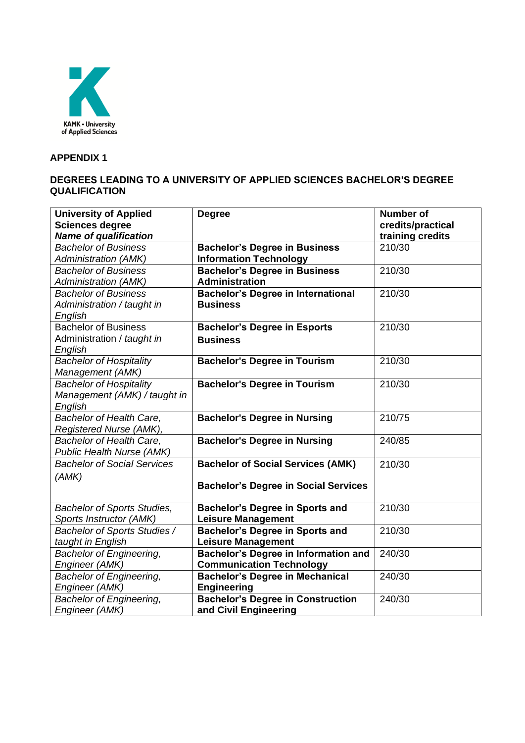

## <span id="page-21-0"></span>**APPENDIX 1**

## **DEGREES LEADING TO A UNIVERSITY OF APPLIED SCIENCES BACHELOR'S DEGREE QUALIFICATION**

| <b>University of Applied</b>       | <b>Degree</b>                               | <b>Number of</b>  |
|------------------------------------|---------------------------------------------|-------------------|
| <b>Sciences degree</b>             |                                             | credits/practical |
| <b>Name of qualification</b>       |                                             | training credits  |
| <b>Bachelor of Business</b>        | <b>Bachelor's Degree in Business</b>        | 210/30            |
| <b>Administration (AMK)</b>        | <b>Information Technology</b>               |                   |
| <b>Bachelor of Business</b>        | <b>Bachelor's Degree in Business</b>        | 210/30            |
| <b>Administration (AMK)</b>        | <b>Administration</b>                       |                   |
| <b>Bachelor of Business</b>        | <b>Bachelor's Degree in International</b>   | 210/30            |
| Administration / taught in         | <b>Business</b>                             |                   |
| English                            |                                             |                   |
| <b>Bachelor of Business</b>        | <b>Bachelor's Degree in Esports</b>         | 210/30            |
| Administration / taught in         | <b>Business</b>                             |                   |
| English                            |                                             |                   |
| <b>Bachelor of Hospitality</b>     | <b>Bachelor's Degree in Tourism</b>         | 210/30            |
| Management (AMK)                   |                                             |                   |
| <b>Bachelor of Hospitality</b>     | <b>Bachelor's Degree in Tourism</b>         | 210/30            |
| Management (AMK) / taught in       |                                             |                   |
| English                            |                                             |                   |
| Bachelor of Health Care,           | <b>Bachelor's Degree in Nursing</b>         | 210/75            |
| Registered Nurse (AMK),            |                                             |                   |
| Bachelor of Health Care,           | <b>Bachelor's Degree in Nursing</b>         | 240/85            |
| Public Health Nurse (AMK)          |                                             |                   |
| <b>Bachelor of Social Services</b> | <b>Bachelor of Social Services (AMK)</b>    | 210/30            |
| (AMK)                              |                                             |                   |
|                                    | <b>Bachelor's Degree in Social Services</b> |                   |
|                                    |                                             |                   |
| <b>Bachelor of Sports Studies,</b> | <b>Bachelor's Degree in Sports and</b>      | 210/30            |
| Sports Instructor (AMK)            | <b>Leisure Management</b>                   |                   |
| Bachelor of Sports Studies /       | <b>Bachelor's Degree in Sports and</b>      | 210/30            |
| taught in English                  | <b>Leisure Management</b>                   |                   |
| <b>Bachelor of Engineering,</b>    | <b>Bachelor's Degree in Information and</b> | 240/30            |
| Engineer (AMK)                     | <b>Communication Technology</b>             |                   |
| <b>Bachelor of Engineering,</b>    | <b>Bachelor's Degree in Mechanical</b>      | 240/30            |
| Engineer (AMK)                     | <b>Engineering</b>                          |                   |
| <b>Bachelor of Engineering,</b>    | <b>Bachelor's Degree in Construction</b>    | 240/30            |
| Engineer (AMK)                     | and Civil Engineering                       |                   |